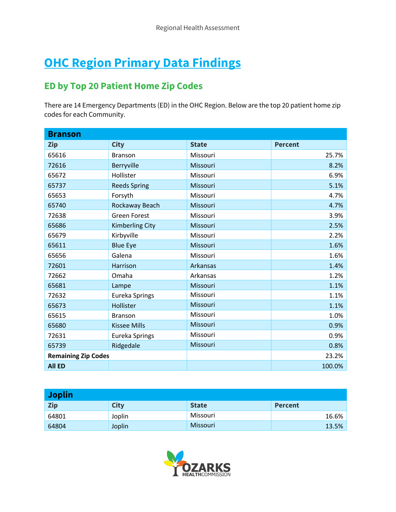# **OHC Region Primary Data Findings**

# **ED by Top 20 Patient Home Zip Codes**

There are 14 Emergency Departments (ED) in the OHC Region. Below are the top 20 patient home zip codes for each Community.

| <b>Branson</b>             |                        |              |                |
|----------------------------|------------------------|--------------|----------------|
| <b>Zip</b>                 | <b>City</b>            | <b>State</b> | <b>Percent</b> |
| 65616                      | <b>Branson</b>         | Missouri     | 25.7%          |
| 72616                      | Berryville             | Missouri     | 8.2%           |
| 65672                      | Hollister              | Missouri     | 6.9%           |
| 65737                      | <b>Reeds Spring</b>    | Missouri     | 5.1%           |
| 65653                      | Forsyth                | Missouri     | 4.7%           |
| 65740                      | Rockaway Beach         | Missouri     | 4.7%           |
| 72638                      | <b>Green Forest</b>    | Missouri     | 3.9%           |
| 65686                      | <b>Kimberling City</b> | Missouri     | 2.5%           |
| 65679                      | Kirbyville             | Missouri     | 2.2%           |
| 65611                      | <b>Blue Eye</b>        | Missouri     | 1.6%           |
| 65656                      | Galena                 | Missouri     | 1.6%           |
| 72601                      | Harrison               | Arkansas     | 1.4%           |
| 72662                      | Omaha                  | Arkansas     | 1.2%           |
| 65681                      | Lampe                  | Missouri     | 1.1%           |
| 72632                      | Eureka Springs         | Missouri     | 1.1%           |
| 65673                      | Hollister              | Missouri     | 1.1%           |
| 65615                      | <b>Branson</b>         | Missouri     | 1.0%           |
| 65680                      | <b>Kissee Mills</b>    | Missouri     | 0.9%           |
| 72631                      | Eureka Springs         | Missouri     | 0.9%           |
| 65739                      | Ridgedale              | Missouri     | 0.8%           |
| <b>Remaining Zip Codes</b> |                        |              | 23.2%          |
| <b>All ED</b>              |                        |              | 100.0%         |

| <b>Joplin</b> |             |              |                |
|---------------|-------------|--------------|----------------|
| <b>Zip</b>    | <b>City</b> | <b>State</b> | <b>Percent</b> |
| 64801         | Joplin      | Missouri     | 16.6%          |
| 64804         | Joplin      | Missouri     | 13.5%          |

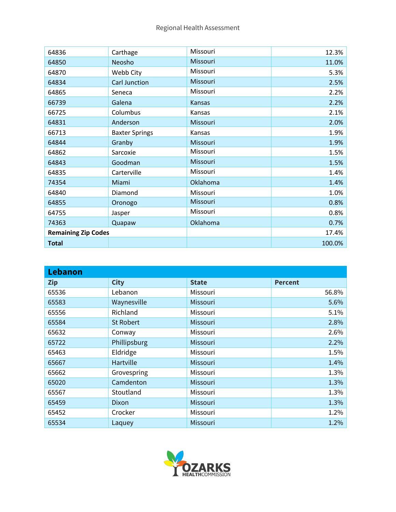| 64836                      | Carthage              | Missouri      | 12.3%  |
|----------------------------|-----------------------|---------------|--------|
| 64850                      | <b>Neosho</b>         | Missouri      | 11.0%  |
| 64870                      | Webb City             | Missouri      | 5.3%   |
| 64834                      | <b>Carl Junction</b>  | Missouri      | 2.5%   |
| 64865                      | Seneca                | Missouri      | 2.2%   |
| 66739                      | Galena                | <b>Kansas</b> | 2.2%   |
| 66725                      | Columbus              | Kansas        | 2.1%   |
| 64831                      | Anderson              | Missouri      | 2.0%   |
| 66713                      | <b>Baxter Springs</b> | Kansas        | 1.9%   |
| 64844                      | Granby                | Missouri      | 1.9%   |
| 64862                      | Sarcoxie              | Missouri      | 1.5%   |
| 64843                      | Goodman               | Missouri      | 1.5%   |
| 64835                      | Carterville           | Missouri      | 1.4%   |
| 74354                      | Miami                 | Oklahoma      | 1.4%   |
| 64840                      | Diamond               | Missouri      | 1.0%   |
| 64855                      | Oronogo               | Missouri      | 0.8%   |
| 64755                      | Jasper                | Missouri      | 0.8%   |
| 74363                      | Quapaw                | Oklahoma      | 0.7%   |
| <b>Remaining Zip Codes</b> |                       |               | 17.4%  |
| <b>Total</b>               |                       |               | 100.0% |

| Lebanon    |                  |              |                |
|------------|------------------|--------------|----------------|
| <b>Zip</b> | <b>City</b>      | <b>State</b> | <b>Percent</b> |
| 65536      | Lebanon          | Missouri     | 56.8%          |
| 65583      | Waynesville      | Missouri     | 5.6%           |
| 65556      | Richland         | Missouri     | 5.1%           |
| 65584      | <b>St Robert</b> | Missouri     | 2.8%           |
| 65632      | Conway           | Missouri     | 2.6%           |
| 65722      | Phillipsburg     | Missouri     | 2.2%           |
| 65463      | Eldridge         | Missouri     | 1.5%           |
| 65667      | Hartville        | Missouri     | 1.4%           |
| 65662      | Grovespring      | Missouri     | 1.3%           |
| 65020      | Camdenton        | Missouri     | 1.3%           |
| 65567      | Stoutland        | Missouri     | 1.3%           |
| 65459      | Dixon            | Missouri     | 1.3%           |
| 65452      | Crocker          | Missouri     | 1.2%           |
| 65534      | Laquey           | Missouri     | 1.2%           |

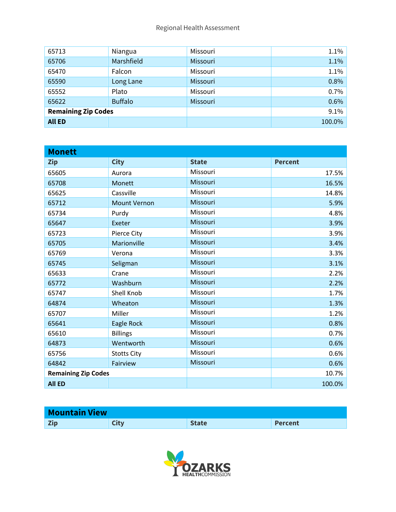| 65713                      | Niangua        | Missouri | $1.1\%$ |
|----------------------------|----------------|----------|---------|
| 65706                      | Marshfield     | Missouri | 1.1%    |
| 65470                      | Falcon         | Missouri | $1.1\%$ |
| 65590                      | Long Lane      | Missouri | 0.8%    |
| 65552                      | Plato          | Missouri | 0.7%    |
| 65622                      | <b>Buffalo</b> | Missouri | 0.6%    |
| <b>Remaining Zip Codes</b> |                |          | 9.1%    |
| <b>All ED</b>              |                |          | 100.0%  |

| <b>Monett</b>              |                     |              |                |
|----------------------------|---------------------|--------------|----------------|
| <b>Zip</b>                 | <b>City</b>         | <b>State</b> | <b>Percent</b> |
| 65605                      | Aurora              | Missouri     | 17.5%          |
| 65708                      | Monett              | Missouri     | 16.5%          |
| 65625                      | Cassville           | Missouri     | 14.8%          |
| 65712                      | <b>Mount Vernon</b> | Missouri     | 5.9%           |
| 65734                      | Purdy               | Missouri     | 4.8%           |
| 65647                      | Exeter              | Missouri     | 3.9%           |
| 65723                      | Pierce City         | Missouri     | 3.9%           |
| 65705                      | Marionville         | Missouri     | 3.4%           |
| 65769                      | Verona              | Missouri     | 3.3%           |
| 65745                      | Seligman            | Missouri     | 3.1%           |
| 65633                      | Crane               | Missouri     | 2.2%           |
| 65772                      | Washburn            | Missouri     | 2.2%           |
| 65747                      | Shell Knob          | Missouri     | 1.7%           |
| 64874                      | Wheaton             | Missouri     | 1.3%           |
| 65707                      | Miller              | Missouri     | 1.2%           |
| 65641                      | Eagle Rock          | Missouri     | 0.8%           |
| 65610                      | <b>Billings</b>     | Missouri     | 0.7%           |
| 64873                      | Wentworth           | Missouri     | 0.6%           |
| 65756                      | <b>Stotts City</b>  | Missouri     | 0.6%           |
| 64842                      | Fairview            | Missouri     | 0.6%           |
| <b>Remaining Zip Codes</b> |                     |              | 10.7%          |
| <b>All ED</b>              |                     |              | 100.0%         |

| <b>Mountain View</b> |      |              |                |
|----------------------|------|--------------|----------------|
| <b>Zip</b>           | City | <b>State</b> | <b>Percent</b> |

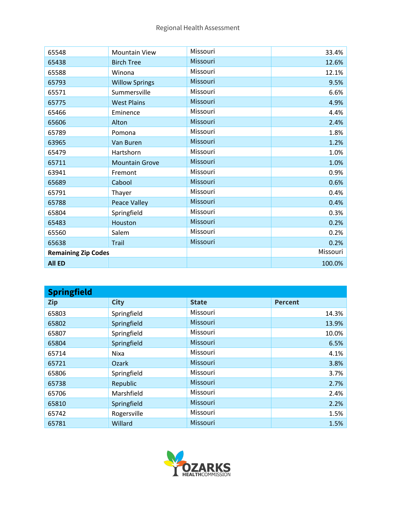| 65548                      | <b>Mountain View</b>  | Missouri | 33.4%    |
|----------------------------|-----------------------|----------|----------|
| 65438                      | <b>Birch Tree</b>     | Missouri | 12.6%    |
| 65588                      | Winona                | Missouri | 12.1%    |
| 65793                      | <b>Willow Springs</b> | Missouri | 9.5%     |
| 65571                      | Summersville          | Missouri | 6.6%     |
| 65775                      | <b>West Plains</b>    | Missouri | 4.9%     |
| 65466                      | Eminence              | Missouri | 4.4%     |
| 65606                      | Alton                 | Missouri | 2.4%     |
| 65789                      | Pomona                | Missouri | 1.8%     |
| 63965                      | Van Buren             | Missouri | 1.2%     |
| 65479                      | Hartshorn             | Missouri | 1.0%     |
| 65711                      | <b>Mountain Grove</b> | Missouri | 1.0%     |
| 63941                      | Fremont               | Missouri | 0.9%     |
| 65689                      | Cabool                | Missouri | 0.6%     |
| 65791                      | Thayer                | Missouri | 0.4%     |
| 65788                      | <b>Peace Valley</b>   | Missouri | 0.4%     |
| 65804                      | Springfield           | Missouri | 0.3%     |
| 65483                      | Houston               | Missouri | 0.2%     |
| 65560                      | Salem                 | Missouri | 0.2%     |
| 65638                      | <b>Trail</b>          | Missouri | 0.2%     |
| <b>Remaining Zip Codes</b> |                       |          | Missouri |
| <b>All ED</b>              |                       |          | 100.0%   |

| <b>Springfield</b> |             |              |                |
|--------------------|-------------|--------------|----------------|
| <b>Zip</b>         | <b>City</b> | <b>State</b> | <b>Percent</b> |
| 65803              | Springfield | Missouri     | 14.3%          |
| 65802              | Springfield | Missouri     | 13.9%          |
| 65807              | Springfield | Missouri     | 10.0%          |
| 65804              | Springfield | Missouri     | 6.5%           |
| 65714              | Nixa        | Missouri     | 4.1%           |
| 65721              | Ozark       | Missouri     | 3.8%           |
| 65806              | Springfield | Missouri     | 3.7%           |
| 65738              | Republic    | Missouri     | 2.7%           |
| 65706              | Marshfield  | Missouri     | 2.4%           |
| 65810              | Springfield | Missouri     | 2.2%           |
| 65742              | Rogersville | Missouri     | 1.5%           |
| 65781              | Willard     | Missouri     | 1.5%           |

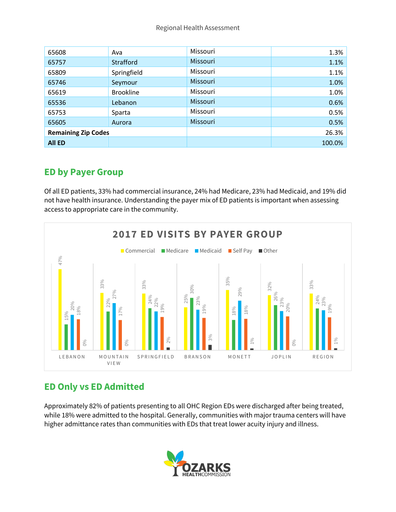| 65608                      | Ava              | Missouri | 1.3%   |
|----------------------------|------------------|----------|--------|
| 65757                      | <b>Strafford</b> | Missouri | 1.1%   |
| 65809                      | Springfield      | Missouri | 1.1%   |
| 65746                      | Seymour          | Missouri | 1.0%   |
| 65619                      | <b>Brookline</b> | Missouri | 1.0%   |
| 65536                      | Lebanon          | Missouri | 0.6%   |
| 65753                      | Sparta           | Missouri | 0.5%   |
| 65605                      | Aurora           | Missouri | 0.5%   |
| <b>Remaining Zip Codes</b> |                  |          | 26.3%  |
| <b>All ED</b>              |                  |          | 100.0% |

### **ED by Payer Group**

Of all ED patients, 33% had commercial insurance, 24% had Medicare, 23% had Medicaid, and 19% did not have health insurance. Understanding the payer mix of ED patients is important when assessing access to appropriate care in the community.



# **ED Only vs ED Admitted**

Approximately 82% of patients presenting to all OHC Region EDs were discharged after being treated, while 18% were admitted to the hospital. Generally, communities with major trauma centers will have

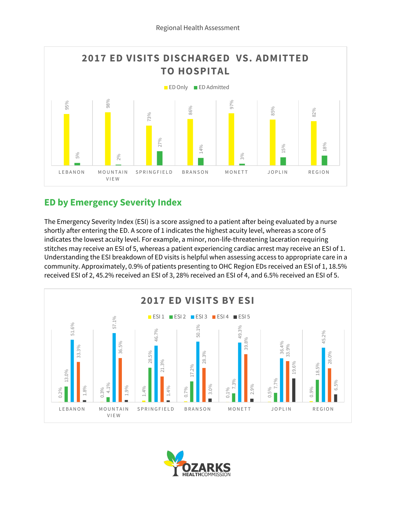

### **ED by Emergency Severity Index**

The Emergency Severity Index (ESI) is a score assigned to a patient after being evaluated by a nurse shortly after entering the ED. A score of 1 indicates the highest acuity level, whereas a score of 5 indicates the lowest acuity level. For example, a minor, non-life-threatening laceration requiring stitches may receive an ESI of 5, whereas a patient experiencing cardiac arrest may receive an ESI of 1. Understanding the ESI breakdown of ED visits is helpful when assessing access to appropriate care in a community. Approximately, 0.9% of patients presenting to OHC Region EDs received an ESI of 1, 18.5%



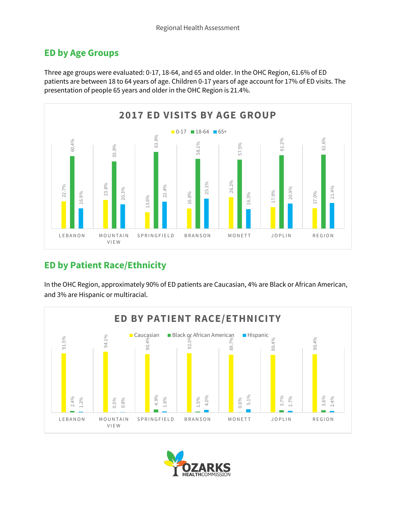### **ED by Age Groups**

Three age groups were evaluated: 0-17, 18-64, and 65 and older. In the OHC Region, 61.6% of ED patients are between 18 to 64 years of age. Children 0-17 years of age account for 17% of ED visits. The presentation of people 65 years and older in the OHC Region is 21.4%.



### **ED by Patient Race/Ethnicity**

In the OHC Region, approximately 90% of ED patients are Caucasian, 4% are Black or African American,



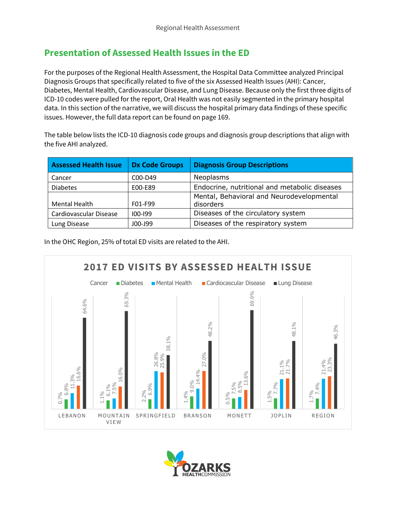### **Presentation of Assessed Health Issues in the ED**

For the purposes of the Regional Health Assessment, the Hospital Data Committee analyzed Principal Diagnosis Groups that specifically related to five of the six Assessed Health Issues (AHI): Cancer, Diabetes, Mental Health, Cardiovascular Disease, and Lung Disease. Because only the first three digits of ICD-10 codes were pulled for the report, Oral Health was not easily segmented in the primary hospital data. In this section of the narrative, we will discuss the hospital primary data findings of these specific issues. However, the full data report can be found on page 169.

The table below lists the ICD-10 diagnosis code groups and diagnosis group descriptions that align with the five AHI analyzed.

| <b>Assessed Health Issue</b> | <b>Dx Code Groups</b> | <b>Diagnosis Group Descriptions</b>                    |
|------------------------------|-----------------------|--------------------------------------------------------|
| Cancer                       | C00-D49               | Neoplasms                                              |
| <b>Diabetes</b>              | E00-E89               | Endocrine, nutritional and metabolic diseases          |
| <b>Mental Health</b>         | F01-F99               | Mental, Behavioral and Neurodevelopmental<br>disorders |
| Cardiovascular Disease       | $100 - 199$           | Diseases of the circulatory system                     |
| Lung Disease                 | J00-J99               | Diseases of the respiratory system                     |

In the OHC Region, 25% of total ED visits are related to the AHI.



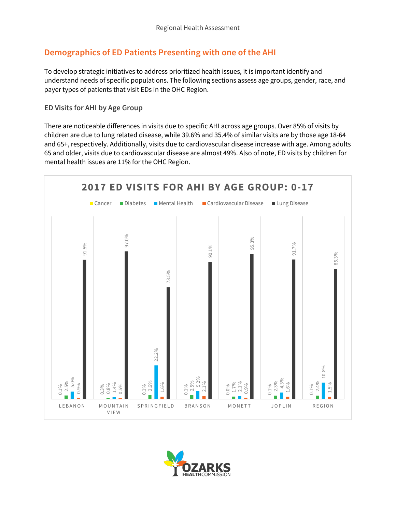#### **Demographics of ED Patients Presenting with one of the AHI**

To develop strategic initiatives to address prioritized health issues, it is important identify and understand needs of specific populations. The following sections assess age groups, gender, race, and payer types of patients that visit EDs in the OHC Region.

#### **ED Visits for AHI by Age Group**

There are noticeable differences in visits due to specific AHI across age groups. Over 85% of visits by children are due to lung related disease, while 39.6% and 35.4% of similar visits are by those age 18-64 and 65+, respectively. Additionally, visits due to cardiovascular disease increase with age. Among adults 65 and older, visits due to cardiovascular disease are almost 49%. Also of note, ED visits by children for mental health issues are 11% for the OHC Region.



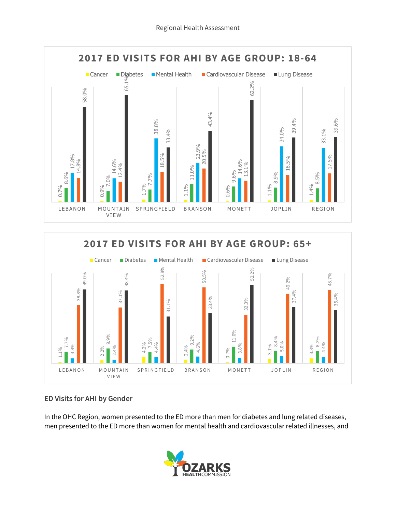



#### **ED Visits for AHI by Gender**

In the OHC Region, women presented to the ED more than men for diabetes and lung related diseases,

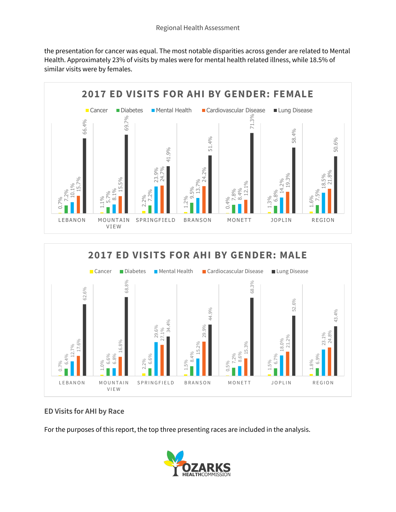the presentation for cancer was equal. The most notable disparities across gender are related to Mental Health. Approximately 23% of visits by males were for mental health related illness, while 18.5% of similar visits were by females.





#### **ED Visits for AHI by Race**

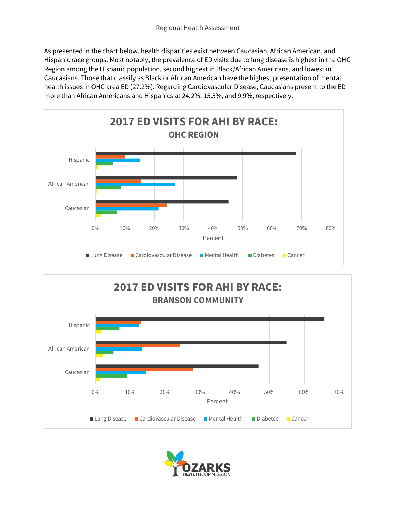As presented in the chart below, health disparities exist between Caucasian, African American, and Hispanic race groups. Most notably, the prevalence of ED visits due to lung disease is highest in the OHC Region among the Hispanic population, second highest in Black/African Americans, and lowest in Caucasians. Those that classify as Black or African American have the highest presentation of mental health issues in OHC area ED (27.2%). Regarding Cardiovascular Disease, Caucasians present to the ED more than African Americans and Hispanics at 24.2%, 15.5%, and 9.9%, respectively.





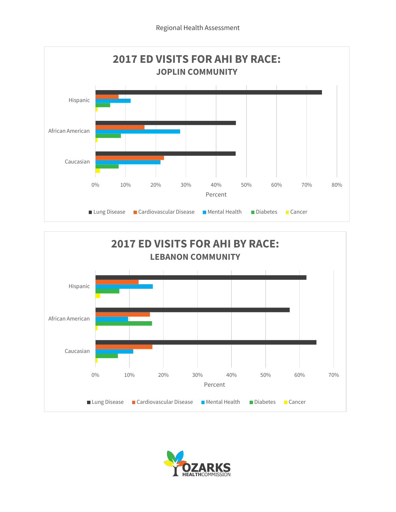



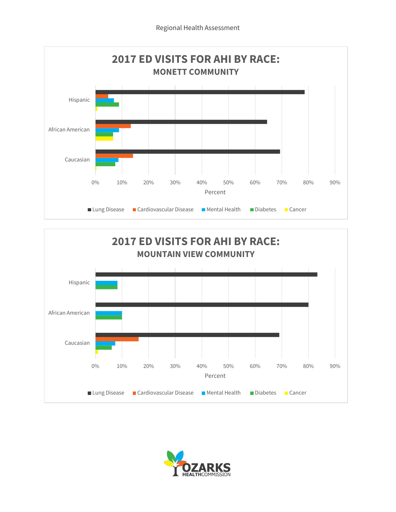



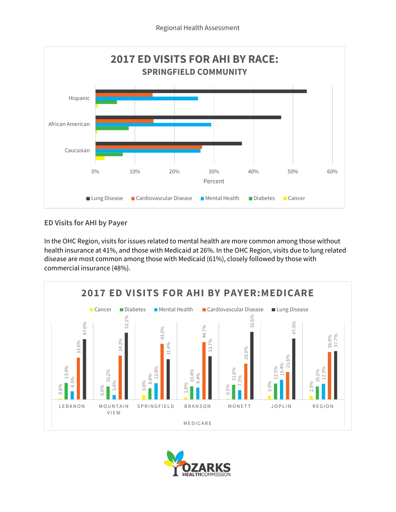

#### **ED Visits for AHI by Payer**

In the OHC Region, visits for issues related to mental health are more common among those without health insurance at 41%, and those with Medicaid at 26%. In the OHC Region, visits due to lung related disease are most common among those with Medicaid (61%), closely followed by those with commercial insurance (48%).



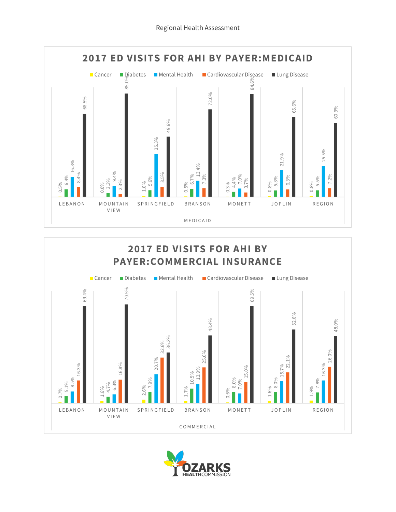



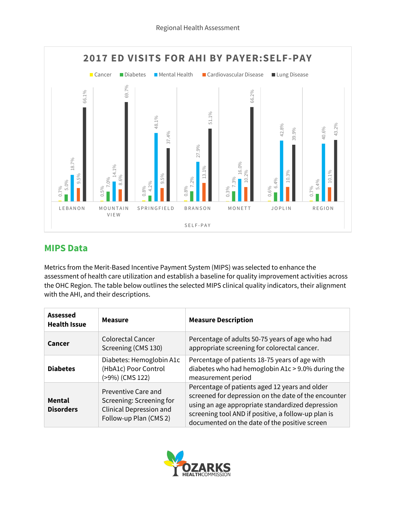

#### **MIPS Data**

Metrics from the Merit-Based Incentive Payment System (MIPS) was selected to enhance the assessment of health care utilization and establish a baseline for quality improvement activities across the OHC Region. The table below outlines the selected MIPS clinical quality indicators, their alignment with the AHI, and their descriptions.

| Assessed<br><b>Health Issue</b>   | <b>Measure</b>                                                                                              | <b>Measure Description</b>                                                                                                                                                                                                                                         |
|-----------------------------------|-------------------------------------------------------------------------------------------------------------|--------------------------------------------------------------------------------------------------------------------------------------------------------------------------------------------------------------------------------------------------------------------|
| Cancer                            | <b>Colorectal Cancer</b><br>Screening (CMS 130)                                                             | Percentage of adults 50-75 years of age who had<br>appropriate screening for colorectal cancer.                                                                                                                                                                    |
| <b>Diabetes</b>                   | Diabetes: Hemoglobin A1c<br>(HbA1c) Poor Control<br>(>9%) (CMS 122)                                         | Percentage of patients 18-75 years of age with<br>diabetes who had hemoglobin A1c > 9.0% during the<br>measurement period                                                                                                                                          |
| <b>Mental</b><br><b>Disorders</b> | Preventive Care and<br>Screening: Screening for<br><b>Clinical Depression and</b><br>Follow-up Plan (CMS 2) | Percentage of patients aged 12 years and older<br>screened for depression on the date of the encounter<br>using an age appropriate standardized depression<br>screening tool AND if positive, a follow-up plan is<br>documented on the date of the positive screen |

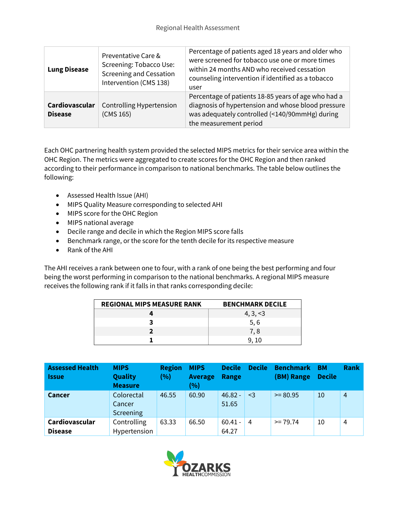| <b>Lung Disease</b>              | Preventative Care &<br>Screening: Tobacco Use:<br><b>Screening and Cessation</b><br>Intervention (CMS 138) | Percentage of patients aged 18 years and older who<br>were screened for tobacco use one or more times<br>within 24 months AND who received cessation<br>counseling intervention if identified as a tobacco<br>user |
|----------------------------------|------------------------------------------------------------------------------------------------------------|--------------------------------------------------------------------------------------------------------------------------------------------------------------------------------------------------------------------|
| Cardiovascular<br><b>Disease</b> | Controlling Hypertension<br>(CMS 165)                                                                      | Percentage of patients 18-85 years of age who had a<br>diagnosis of hypertension and whose blood pressure<br>was adequately controlled (<140/90mmHg) during<br>the measurement period                              |

Each OHC partnering health system provided the selected MIPS metrics for their service area within the OHC Region. The metrics were aggregated to create scores for the OHC Region and then ranked according to their performance in comparison to national benchmarks. The table below outlines the following:

- Assessed Health Issue (AHI)
- MIPS Quality Measure corresponding to selected AHI
- MIPS score for the OHC Region
- MIPS national average
- Decile range and decile in which the Region MIPS score falls
- Benchmark range, or the score for the tenth decile for its respective measure
- Rank of the AHI

The AHI receives a rank between one to four, with a rank of one being the best performing and four being the worst performing in comparison to the national benchmarks. A regional MIPS measure receives the following rank if it falls in that ranks corresponding decile:

| <b>REGIONAL MIPS MEASURE RANK</b> | <b>BENCHMARK DECILE</b> |
|-----------------------------------|-------------------------|
|                                   | 4, 3, < 3               |
|                                   | 5.6                     |
|                                   | 7,8                     |
|                                   |                         |

| <b>Assessed Health</b><br><b>Issue</b> | <b>MIPS</b><br>Quality<br><b>Measure</b> | <b>Region</b><br>(%) | <b>MIPS</b><br><b>Average</b><br>(%) | <b>Decile</b><br>Range | <b>Decile</b> | <b>Benchmark</b><br>(BM) Range | <b>BM</b><br><b>Decile</b> | <b>Rank</b>    |
|----------------------------------------|------------------------------------------|----------------------|--------------------------------------|------------------------|---------------|--------------------------------|----------------------------|----------------|
| <b>Cancer</b>                          | Colorectal<br>Cancer<br>Screening        | 46.55                | 60.90                                | $46.82 -$<br>51.65     | $\leq$ 3      | $>= 80.95$                     | 10                         | $\overline{4}$ |
| Cardiovascular<br><b>Disease</b>       | Controlling<br>Hypertension              | 63.33                | 66.50                                | $60.41 -$<br>64.27     | 4             | $>= 79.74$                     | 10                         | 4              |